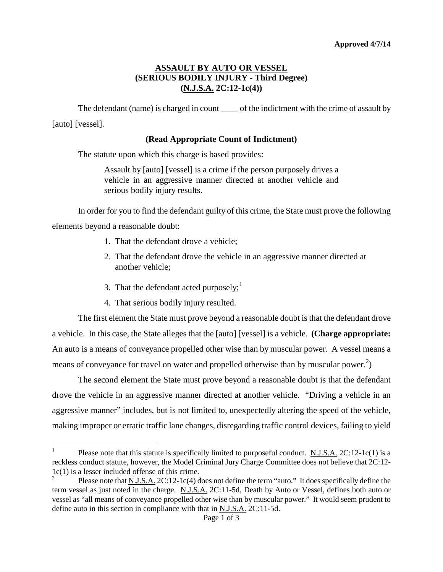## **ASSAULT BY AUTO OR VESSEL (SERIOUS BODILY INJURY - Third Degree) (N.J.S.A. 2C:12-1c(4))**

The defendant (name) is charged in count \_\_\_\_\_ of the indictment with the crime of assault by [auto] [vessel].

## **(Read Appropriate Count of Indictment)**

The statute upon which this charge is based provides:

Assault by [auto] [vessel] is a crime if the person purposely drives a vehicle in an aggressive manner directed at another vehicle and serious bodily injury results.

In order for you to find the defendant guilty of this crime, the State must prove the following

elements beyond a reasonable doubt:

- 1. That the defendant drove a vehicle;
- 2. That the defendant drove the vehicle in an aggressive manner directed at another vehicle;
- 3. That the defendant acted purposely; $<sup>1</sup>$  $<sup>1</sup>$  $<sup>1</sup>$ </sup>
- 4. That serious bodily injury resulted.

The first element the State must prove beyond a reasonable doubt is that the defendant drove a vehicle. In this case, the State alleges that the [auto] [vessel] is a vehicle. **(Charge appropriate:** An auto is a means of conveyance propelled other wise than by muscular power. A vessel means a means of conveyance for travel on water and propelled otherwise than by muscular power.<sup>[2](#page-0-1)</sup>)

The second element the State must prove beyond a reasonable doubt is that the defendant drove the vehicle in an aggressive manner directed at another vehicle. "Driving a vehicle in an aggressive manner" includes, but is not limited to, unexpectedly altering the speed of the vehicle, making improper or erratic traffic lane changes, disregarding traffic control devices, failing to yield

<span id="page-0-2"></span><span id="page-0-0"></span><sup>&</sup>lt;sup>1</sup> Please note that this statute is specifically limited to purposeful conduct. N.J.S.A. 2C:12-1c(1) is a reckless conduct statute, however, the Model Criminal Jury Charge Committee does not believe that 2C:12- 1c(1) is a lesser included offense of this crime.

<span id="page-0-1"></span>Please note that <u>N.J.S.A.</u> 2C:12-1c(4) does not define the term "auto." It does specifically define the term vessel as just noted in the charge. N.J.S.A. 2C:11-5d, Death by Auto or Vessel, defines both auto or vessel as "all means of conveyance propelled other wise than by muscular power." It would seem prudent to define auto in this section in compliance with that in N.J.S.A. 2C:11-5d.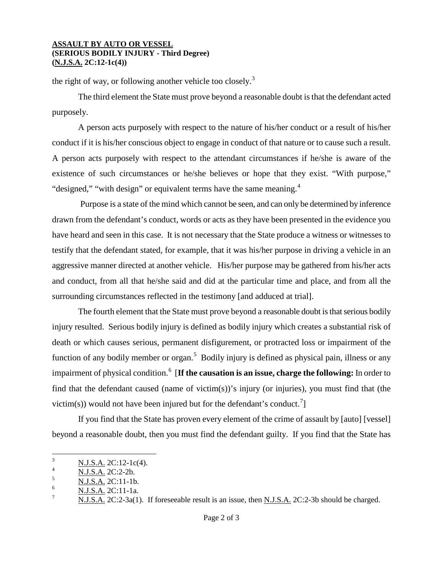## **ASSAULT BY AUTO OR VESSEL (SERIOUS BODILY INJURY - Third Degree) (N.J.S.A. 2C:12-1c(4))**

the right of way, or following another vehicle too closely.<sup>[3](#page-0-2)</sup>

The third element the State must prove beyond a reasonable doubt is that the defendant acted purposely.

A person acts purposely with respect to the nature of his/her conduct or a result of his/her conduct if it is his/her conscious object to engage in conduct of that nature or to cause such a result. A person acts purposely with respect to the attendant circumstances if he/she is aware of the existence of such circumstances or he/she believes or hope that they exist. "With purpose," "designed," "with design" or equivalent terms have the same meaning. $4$ 

Purpose is a state of the mind which cannot be seen, and can only be determined by inference drawn from the defendant's conduct, words or acts as they have been presented in the evidence you have heard and seen in this case. It is not necessary that the State produce a witness or witnesses to testify that the defendant stated, for example, that it was his/her purpose in driving a vehicle in an aggressive manner directed at another vehicle. His/her purpose may be gathered from his/her acts and conduct, from all that he/she said and did at the particular time and place, and from all the surrounding circumstances reflected in the testimony [and adduced at trial].

The fourth element that the State must prove beyond a reasonable doubt is that serious bodily injury resulted. Serious bodily injury is defined as bodily injury which creates a substantial risk of death or which causes serious, permanent disfigurement, or protracted loss or impairment of the function of any bodily member or organ.<sup>[5](#page-1-1)</sup> Bodily injury is defined as physical pain, illness or any impairment of physical condition.<sup>[6](#page-1-2)</sup> [**If the causation is an issue, charge the following:** In order to find that the defendant caused (name of victim(s))'s injury (or injuries), you must find that (the victim(s)) would not have been injured but for the defendant's conduct.<sup>[7](#page-1-3)</sup>

If you find that the State has proven every element of the crime of assault by [auto] [vessel] beyond a reasonable doubt, then you must find the defendant guilty. If you find that the State has

 $\frac{1}{4}$  N.J.S.A. 2C:12-1c(4).

<span id="page-1-0"></span> $\frac{4}{5}$  N.J.S.A. 2C:2-2b.

<span id="page-1-1"></span> $\frac{5}{6}$  N.J.S.A. 2C:11-1b.

<span id="page-1-3"></span><span id="page-1-2"></span> $\frac{6}{7}$  N.J.S.A. 2C:11-1a.

N.J.S.A. 2C:2-3a(1). If foreseeable result is an issue, then N.J.S.A. 2C:2-3b should be charged.